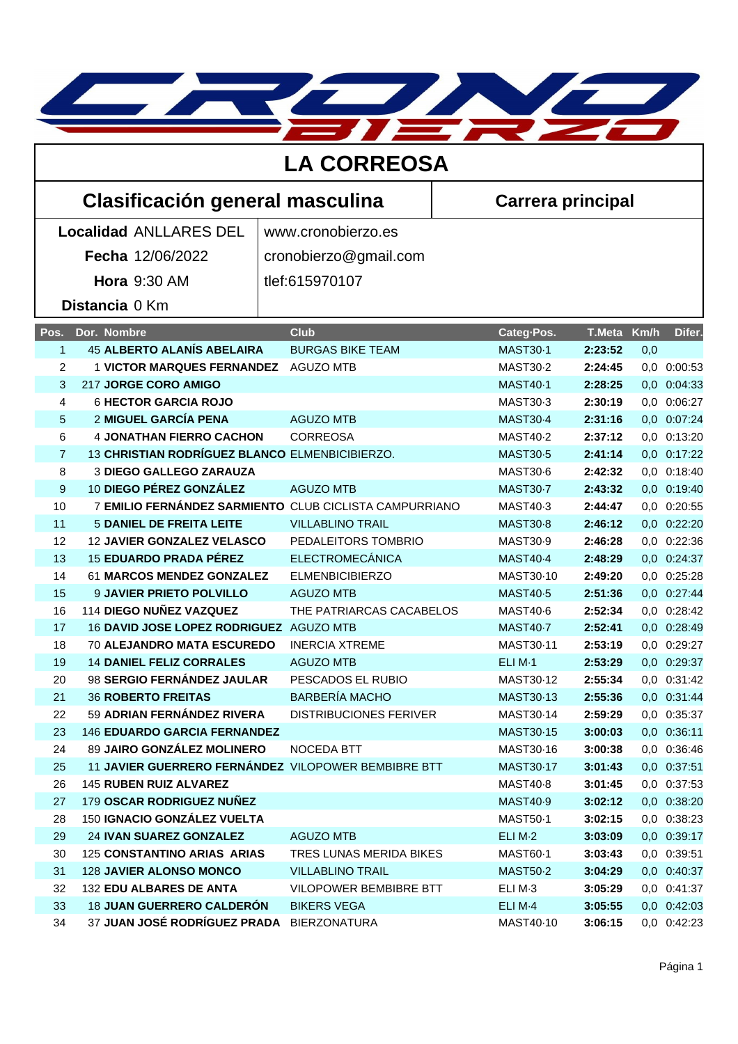

| <b>LA CORREOSA</b>              |                                                        |  |                               |  |                          |               |      |             |
|---------------------------------|--------------------------------------------------------|--|-------------------------------|--|--------------------------|---------------|------|-------------|
| Clasificación general masculina |                                                        |  |                               |  | <b>Carrera principal</b> |               |      |             |
| <b>Localidad ANLLARES DEL</b>   |                                                        |  | www.cronobierzo.es            |  |                          |               |      |             |
|                                 | Fecha 12/06/2022                                       |  | cronobierzo@gmail.com         |  |                          |               |      |             |
|                                 | <b>Hora 9:30 AM</b>                                    |  | tlef:615970107                |  |                          |               |      |             |
|                                 |                                                        |  |                               |  |                          |               |      |             |
|                                 | Distancia 0 Km                                         |  |                               |  |                          |               |      |             |
| Pos.                            | Dor. Nombre                                            |  | <b>Club</b>                   |  | Categ-Pos.               | <b>T.Meta</b> | Km/h | Difer.      |
| $\mathbf{1}$                    | <b>45 ALBERTO ALANÍS ABELAIRA</b>                      |  | <b>BURGAS BIKE TEAM</b>       |  | <b>MAST30-1</b>          | 2:23:52       | 0,0  |             |
| 2                               | 1 VICTOR MARQUES FERNANDEZ AGUZO MTB                   |  |                               |  | <b>MAST30-2</b>          | 2:24:45       |      | 0,0 0:00:53 |
| 3                               | 217 JORGE CORO AMIGO                                   |  |                               |  | <b>MAST40-1</b>          | 2:28:25       |      | 0,0 0:04:33 |
| $\overline{4}$                  | <b>6 HECTOR GARCIA ROJO</b>                            |  |                               |  | MAST30-3                 | 2:30:19       | 0,0  | 0:06:27     |
| 5                               | <b>2 MIGUEL GARCÍA PENA</b>                            |  | <b>AGUZO MTB</b>              |  | <b>MAST30-4</b>          | 2:31:16       |      | 0,0 0:07:24 |
| 6                               | <b>4 JONATHAN FIERRO CACHON</b>                        |  | <b>CORREOSA</b>               |  | <b>MAST40-2</b>          | 2:37:12       |      | 0,0 0:13:20 |
| $\overline{7}$                  | 13 CHRISTIAN RODRÍGUEZ BLANCO ELMENBICIBIERZO.         |  |                               |  | <b>MAST30-5</b>          | 2:41:14       |      | 0,0 0:17:22 |
| 8                               | <b>3 DIEGO GALLEGO ZARAUZA</b>                         |  |                               |  | MAST30-6                 | 2:42:32       |      | 0,0 0:18:40 |
| 9                               | 10 DIEGO PÉREZ GONZÁLEZ                                |  | <b>AGUZO MTB</b>              |  | <b>MAST30-7</b>          | 2:43:32       |      | 0,0 0:19:40 |
| 10                              | 7 EMILIO FERNÁNDEZ SARMIENTO CLUB CICLISTA CAMPURRIANO |  |                               |  | MAST40-3                 | 2:44:47       |      | 0,0 0:20:55 |
| 11                              | <b>5 DANIEL DE FREITA LEITE</b>                        |  | <b>VILLABLINO TRAIL</b>       |  | <b>MAST30-8</b>          | 2:46:12       |      | 0,0 0:22:20 |
| 12                              | <b>12 JAVIER GONZALEZ VELASCO</b>                      |  | PEDALEITORS TOMBRIO           |  | MAST30-9                 | 2:46:28       |      | 0,0 0:22:36 |
| 13                              | <b>15 EDUARDO PRADA PÉREZ</b>                          |  | <b>ELECTROMECÁNICA</b>        |  | <b>MAST40-4</b>          | 2:48:29       |      | 0,0 0:24:37 |
| 14                              | 61 MARCOS MENDEZ GONZALEZ                              |  | <b>ELMENBICIBIERZO</b>        |  | MAST30-10                | 2:49:20       | 0,0  | 0:25:28     |
| 15                              | 9 JAVIER PRIETO POLVILLO                               |  | <b>AGUZO MTB</b>              |  | <b>MAST40-5</b>          | 2:51:36       |      | 0,0 0:27:44 |
| 16                              | 114 DIEGO NUÑEZ VAZQUEZ                                |  | THE PATRIARCAS CACABELOS      |  | MAST40-6                 | 2:52:34       |      | 0,0 0:28:42 |
| 17                              | 16 DAVID JOSE LOPEZ RODRIGUEZ AGUZO MTB                |  |                               |  | <b>MAST40-7</b>          | 2:52:41       |      | 0,0 0:28:49 |
| 18                              | <b>70 ALEJANDRO MATA ESCUREDO</b>                      |  | <b>INERCIA XTREME</b>         |  | MAST30-11                | 2:53:19       |      | 0,0 0:29:27 |
| 19                              | <b>14 DANIEL FELIZ CORRALES</b>                        |  | <b>AGUZO MTB</b>              |  | ELIM-1                   | 2:53:29       |      | 0,0 0:29:37 |
| 20                              | 98 SERGIO FERNÁNDEZ JAULAR                             |  | PESCADOS EL RUBIO             |  | MAST30-12                | 2:55:34       |      | 0,0 0:31:42 |
| 21                              | <b>36 ROBERTO FREITAS</b>                              |  | <b>BARBERÍA MACHO</b>         |  | MAST30-13                | 2:55:36       |      | 0,0 0:31:44 |
| 22                              | 59 ADRIAN FERNÁNDEZ RIVERA                             |  | <b>DISTRIBUCIONES FERIVER</b> |  | MAST30-14                | 2:59:29       |      | 0,0 0:35:37 |
| 23                              | <b>146 EDUARDO GARCIA FERNANDEZ</b>                    |  |                               |  | MAST30-15                | 3:00:03       |      | 0,0 0:36:11 |
| 24                              | 89 JAIRO GONZÁLEZ MOLINERO                             |  | NOCEDA BTT                    |  | MAST30-16                | 3:00:38       |      | 0,0 0:36:46 |
| 25                              | 11 JAVIER GUERRERO FERNÁNDEZ VILOPOWER BEMBIBRE BTT    |  |                               |  | MAST30-17                | 3:01:43       |      | 0,0 0:37:51 |
| 26                              | <b>145 RUBEN RUIZ ALVAREZ</b>                          |  |                               |  | MAST40-8                 | 3:01:45       |      | 0,0 0:37:53 |
| 27                              | 179 OSCAR RODRIGUEZ NUÑEZ                              |  |                               |  | <b>MAST40-9</b>          | 3:02:12       |      | 0,0 0:38:20 |
| 28                              | 150 IGNACIO GONZÁLEZ VUELTA                            |  |                               |  | MAST50-1                 | 3:02:15       |      | 0,0 0:38:23 |
| 29                              | 24 IVAN SUAREZ GONZALEZ                                |  | <b>AGUZO MTB</b>              |  | ELI M-2                  | 3:03:09       |      | 0,0 0:39:17 |
| 30                              | 125 CONSTANTINO ARIAS ARIAS                            |  | TRES LUNAS MERIDA BIKES       |  | MAST60-1                 | 3:03:43       |      | 0,0 0:39:51 |
| 31                              | <b>128 JAVIER ALONSO MONCO</b>                         |  | <b>VILLABLINO TRAIL</b>       |  | <b>MAST50-2</b>          | 3:04:29       |      | 0,0 0:40:37 |
| 32                              | 132 EDU ALBARES DE ANTA                                |  | VILOPOWER BEMBIBRE BTT        |  | ELI M-3                  | 3:05:29       |      | 0,0 0:41:37 |
| 33                              | <b>18 JUAN GUERRERO CALDERON</b>                       |  | <b>BIKERS VEGA</b>            |  | ELI M <sub>·4</sub>      | 3:05:55       |      | 0,0 0:42:03 |
| 34                              | 37 JUAN JOSÉ RODRÍGUEZ PRADA BIERZONATURA              |  |                               |  | MAST40-10                | 3:06:15       |      | 0,0 0:42:23 |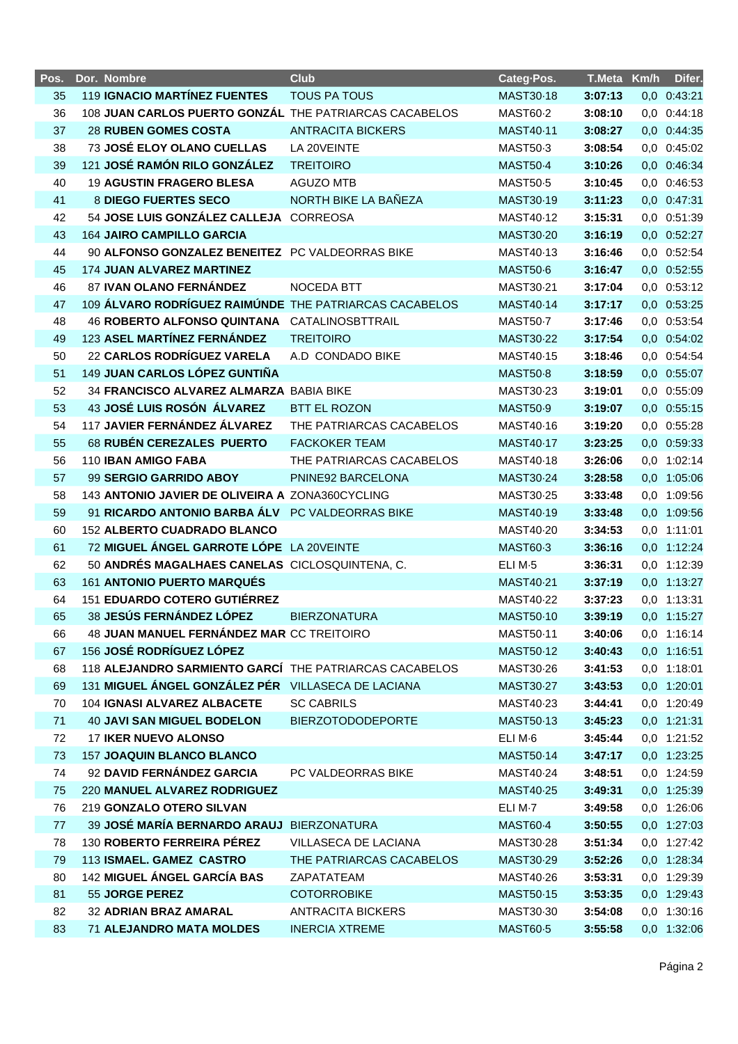| Pos. | Dor. Nombre                                            | <b>Club</b>              | Categ-Pos.          | T.Meta Km/h | Difer.          |
|------|--------------------------------------------------------|--------------------------|---------------------|-------------|-----------------|
| 35   | <b>119 IGNACIO MARTÍNEZ FUENTES</b>                    | <b>TOUS PA TOUS</b>      | MAST30-18           | 3:07:13     | 0,0 0:43:21     |
| 36   | 108 JUAN CARLOS PUERTO GONZÁL THE PATRIARCAS CACABELOS |                          | <b>MAST60-2</b>     | 3:08:10     | 0,0 0:44:18     |
| 37   | <b>28 RUBEN GOMES COSTA</b>                            | <b>ANTRACITA BICKERS</b> | MAST40-11           | 3:08:27     | 0,0 0:44:35     |
| 38   | <b>73 JOSÉ ELOY OLANO CUELLAS</b>                      | LA 20VEINTE              | MAST50-3            | 3:08:54     | $0,0$ $0:45:02$ |
| 39   | 121 JOSÉ RAMÓN RILO GONZÁLEZ                           | <b>TREITOIRO</b>         | <b>MAST50-4</b>     | 3:10:26     | 0,0 0:46:34     |
| 40   | <b>19 AGUSTIN FRAGERO BLESA</b>                        | <b>AGUZO MTB</b>         | <b>MAST50-5</b>     | 3:10:45     | 0,0 0:46:53     |
| 41   | 8 DIEGO FUERTES SECO                                   | NORTH BIKE LA BAÑEZA     | MAST30-19           | 3:11:23     | 0,0 0:47:31     |
| 42   | 54 JOSE LUIS GONZÁLEZ CALLEJA CORREOSA                 |                          | MAST40-12           | 3:15:31     | 0,0 0:51:39     |
| 43   | <b>164 JAIRO CAMPILLO GARCIA</b>                       |                          | MAST30-20           | 3:16:19     | 0,0 0:52:27     |
| 44   | 90 ALFONSO GONZALEZ BENEITEZ PC VALDEORRAS BIKE        |                          | MAST40-13           | 3:16:46     | 0,0 0:52:54     |
| 45   | <b>174 JUAN ALVAREZ MARTINEZ</b>                       |                          | <b>MAST50-6</b>     | 3:16:47     | 0,0 0:52:55     |
| 46   | 87 IVAN OLANO FERNÁNDEZ                                | <b>NOCEDA BTT</b>        | MAST30-21           | 3:17:04     | 0,0 0:53:12     |
| 47   | 109 ÁLVARO RODRÍGUEZ RAIMÚNDE THE PATRIARCAS CACABELOS |                          | MAST40-14           | 3:17:17     | 0,0 0:53:25     |
| 48   | 46 ROBERTO ALFONSO QUINTANA CATALINOSBTTRAIL           |                          | <b>MAST50-7</b>     | 3:17:46     | 0,0 0:53:54     |
| 49   | 123 ASEL MARTÍNEZ FERNÁNDEZ                            | <b>TREITOIRO</b>         | MAST30-22           | 3:17:54     | 0,0 0:54:02     |
| 50   | 22 CARLOS RODRÍGUEZ VARELA                             | A.D CONDADO BIKE         | MAST40-15           | 3:18:46     | 0,0 0:54:54     |
| 51   | 149 JUAN CARLOS LÓPEZ GUNTIÑA                          |                          | <b>MAST50-8</b>     | 3:18:59     | 0,0 0:55:07     |
| 52   | 34 FRANCISCO ALVAREZ ALMARZA BABIA BIKE                |                          | MAST30-23           | 3:19:01     | 0,0 0:55:09     |
| 53   | 43 JOSÉ LUIS ROSÓN ÁLVAREZ                             | <b>BTT EL ROZON</b>      | <b>MAST50-9</b>     | 3:19:07     | 0,0 0:55:15     |
| 54   | 117 JAVIER FERNÁNDEZ ÁLVAREZ                           | THE PATRIARCAS CACABELOS | MAST40-16           | 3:19:20     | 0,0 0:55:28     |
| 55   | 68 RUBÉN CEREZALES PUERTO                              | <b>FACKOKER TEAM</b>     | MAST40-17           | 3:23:25     | 0,0 0:59:33     |
| 56   | 110 IBAN AMIGO FABA                                    | THE PATRIARCAS CACABELOS | MAST40-18           | 3:26:06     | 0,0 1:02:14     |
| 57   | 99 SERGIO GARRIDO ABOY                                 | PNINE92 BARCELONA        | MAST30-24           | 3:28:58     | 0,0 1:05:06     |
| 58   | 143 ANTONIO JAVIER DE OLIVEIRA A ZONA360CYCLING        |                          | MAST30-25           | 3:33:48     | 0,0 1:09:56     |
| 59   | 91 RICARDO ANTONIO BARBA ÁLV PC VALDEORRAS BIKE        |                          | MAST40-19           | 3:33:48     | 0,0 1:09:56     |
| 60   | 152 ALBERTO CUADRADO BLANCO                            |                          | MAST40-20           | 3:34:53     | 0,0 1:11:01     |
| 61   | 72 MIGUEL ÁNGEL GARROTE LÓPE LA 20VEINTE               |                          | MAST60-3            | 3:36:16     | 0,0 1:12:24     |
| 62   | 50 ANDRÉS MAGALHAES CANELAS CICLOSQUINTENA, C.         |                          | ELIM-5              | 3:36:31     | 0,0 1:12:39     |
| 63   | 161 ANTONIO PUERTO MARQUÉS                             |                          | MAST40-21           | 3:37:19     | 0,0 1:13:27     |
| 64   | <b>151 EDUARDO COTERO GUTIÉRREZ</b>                    |                          | MAST40-22           | 3:37:23     | 0,0 1:13:31     |
| 65   | 38 JESÚS FERNÁNDEZ LÓPEZ                               | <b>BIERZONATURA</b>      | MAST50-10           | 3:39:19     | 0,0 1:15:27     |
| 66   | 48 JUAN MANUEL FERNÁNDEZ MAR CC TREITOIRO              |                          | MAST50-11           | 3:40:06     | 0,0 1:16:14     |
| 67   | 156 JOSÉ RODRÍGUEZ LÓPEZ                               |                          | MAST50-12           | 3:40:43     | 0,0 1:16:51     |
| 68   | 118 ALEJANDRO SARMIENTO GARCÍ THE PATRIARCAS CACABELOS |                          | MAST30-26           | 3:41:53     | $0,0$ 1:18:01   |
| 69   | 131 MIGUEL ÁNGEL GONZÁLEZ PÉR VILLASECA DE LACIANA     |                          | MAST30-27           | 3:43:53     | 0,0 1:20:01     |
| 70   | 104 IGNASI ALVAREZ ALBACETE                            | <b>SC CABRILS</b>        | MAST40-23           | 3:44:41     | 0,0 1:20:49     |
| 71   | <b>40 JAVI SAN MIGUEL BODELON</b>                      | <b>BIERZOTODODEPORTE</b> | <b>MAST50-13</b>    | 3:45:23     | 0,0 1:21:31     |
| 72   | <b>17 IKER NUEVO ALONSO</b>                            |                          | ELI M·6             | 3:45:44     | 0,0 1:21:52     |
| 73   | <b>157 JOAQUIN BLANCO BLANCO</b>                       |                          | MAST50-14           | 3:47:17     | 0,0 1:23:25     |
| 74   | 92 DAVID FERNÁNDEZ GARCIA                              | PC VALDEORRAS BIKE       | MAST40-24           | 3:48:51     | 0,0 1:24:59     |
| 75   | 220 MANUEL ALVAREZ RODRIGUEZ                           |                          | <b>MAST40-25</b>    | 3:49:31     | 0,0 1:25:39     |
| 76   | 219 GONZALO OTERO SILVAN                               |                          | ELI M <sub>·7</sub> | 3:49:58     | 0,0 1:26:06     |
| 77   | <b>39 JOSÉ MARÍA BERNARDO ARAUJ</b>                    | <b>BIERZONATURA</b>      | <b>MAST60-4</b>     | 3:50:55     | 0,0 1:27:03     |
| 78   | 130 ROBERTO FERREIRA PÉREZ                             | VILLASECA DE LACIANA     | MAST30-28           | 3:51:34     | 0,0 1:27:42     |
| 79   | 113 ISMAEL. GAMEZ CASTRO                               | THE PATRIARCAS CACABELOS | MAST30-29           | 3:52:26     | 0,0 1:28:34     |
| 80   | 142 MIGUEL ÁNGEL GARCÍA BAS                            | ZAPATATEAM               | MAST40-26           | 3:53:31     | 0,0 1:29:39     |
| 81   | 55 JORGE PEREZ                                         | <b>COTORROBIKE</b>       | MAST50-15           | 3:53:35     | 0,0 1:29:43     |
| 82   | 32 ADRIAN BRAZ AMARAL                                  | <b>ANTRACITA BICKERS</b> | MAST30-30           | 3:54:08     | 0,0 1:30:16     |
| 83   | <b>71 ALEJANDRO MATA MOLDES</b>                        | <b>INERCIA XTREME</b>    | <b>MAST60-5</b>     | 3:55:58     | 0,0 1:32:06     |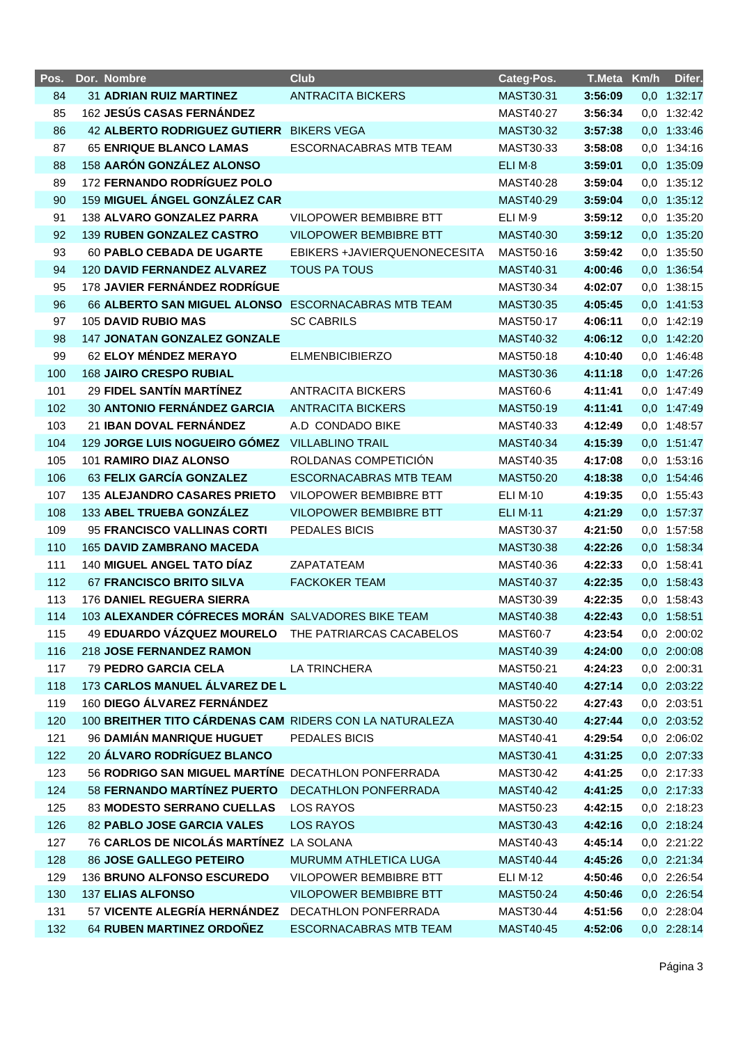| Pos. | Dor. Nombre                                             | <b>Club</b>                   | Categ-Pos.          | T.Meta Km/h |     | Difer.      |
|------|---------------------------------------------------------|-------------------------------|---------------------|-------------|-----|-------------|
| 84   | 31 ADRIAN RUIZ MARTINEZ                                 | <b>ANTRACITA BICKERS</b>      | MAST30-31           | 3:56:09     |     | 0,0 1:32:17 |
| 85   | 162 JESÚS CASAS FERNÁNDEZ                               |                               | MAST40-27           | 3:56:34     |     | 0,0 1:32:42 |
| 86   | <b>42 ALBERTO RODRIGUEZ GUTIERR</b>                     | <b>BIKERS VEGA</b>            | MAST30-32           | 3:57:38     |     | 0,0 1:33:46 |
| 87   | <b>65 ENRIQUE BLANCO LAMAS</b>                          | <b>ESCORNACABRAS MTB TEAM</b> | MAST30-33           | 3:58:08     | 0,0 | 1:34:16     |
| 88   | 158 AARÓN GONZÁLEZ ALONSO                               |                               | ELI M-8             | 3:59:01     |     | 0,0 1:35:09 |
| 89   | 172 FERNANDO RODRÍGUEZ POLO                             |                               | MAST40-28           | 3:59:04     |     | 0,0 1:35:12 |
| 90   | 159 MIGUEL ÁNGEL GONZÁLEZ CAR                           |                               | MAST40-29           | 3:59:04     |     | 0,0 1:35:12 |
| 91   | 138 ALVARO GONZALEZ PARRA                               | <b>VILOPOWER BEMBIBRE BTT</b> | ELI M <sub>·9</sub> | 3:59:12     |     | 0,0 1:35:20 |
| 92   | 139 RUBEN GONZALEZ CASTRO                               | <b>VILOPOWER BEMBIBRE BTT</b> | MAST40-30           | 3:59:12     |     | 0,0 1:35:20 |
| 93   | <b>60 PABLO CEBADA DE UGARTE</b>                        | EBIKERS +JAVIERQUENONECESITA  | MAST50-16           | 3:59:42     |     | 0,0 1:35:50 |
| 94   | 120 DAVID FERNANDEZ ALVAREZ                             | <b>TOUS PA TOUS</b>           | MAST40-31           | 4:00:46     |     | 0,0 1:36:54 |
| 95   | 178 JAVIER FERNÁNDEZ RODRÍGUE                           |                               | MAST30-34           | 4:02:07     |     | 0,0 1:38:15 |
| 96   | 66 ALBERTO SAN MIGUEL ALONSO                            | <b>ESCORNACABRAS MTB TEAM</b> | MAST30-35           | 4:05:45     |     | 0,0 1:41:53 |
| 97   | <b>105 DAVID RUBIO MAS</b>                              | <b>SC CABRILS</b>             | MAST50-17           | 4:06:11     |     | 0,0 1:42:19 |
| 98   | <b>147 JONATAN GONZALEZ GONZALE</b>                     |                               | MAST40-32           | 4:06:12     |     | 0,0 1:42:20 |
| 99   | 62 ELOY MÉNDEZ MERAYO                                   | <b>ELMENBICIBIERZO</b>        | MAST50-18           | 4:10:40     |     | 0,0 1:46:48 |
| 100  | <b>168 JAIRO CRESPO RUBIAL</b>                          |                               | MAST30-36           | 4:11:18     |     | 0,0 1:47:26 |
| 101  | 29 FIDEL SANTÍN MARTÍNEZ                                | <b>ANTRACITA BICKERS</b>      | MAST60-6            | 4:11:41     |     | 0,0 1:47:49 |
| 102  | 30 ANTONIO FERNÁNDEZ GARCIA                             | <b>ANTRACITA BICKERS</b>      | MAST50-19           | 4:11:41     |     | 0,0 1:47:49 |
| 103  | 21 IBAN DOVAL FERNÁNDEZ                                 | A.D CONDADO BIKE              | MAST40-33           | 4:12:49     |     | 0,0 1:48:57 |
| 104  | 129 JORGE LUIS NOGUEIRO GÓMEZ                           | <b>VILLABLINO TRAIL</b>       | MAST40-34           | 4:15:39     |     | 0,0 1:51:47 |
| 105  | 101 RAMIRO DIAZ ALONSO                                  | ROLDANAS COMPETICIÓN          | MAST40-35           | 4:17:08     |     | 0,0 1:53:16 |
| 106  | 63 FELIX GARCÍA GONZALEZ                                | <b>ESCORNACABRAS MTB TEAM</b> | <b>MAST50-20</b>    | 4:18:38     |     | 0,0 1:54:46 |
| 107  | <b>135 ALEJANDRO CASARES PRIETO</b>                     | VILOPOWER BEMBIBRE BTT        | <b>ELI M-10</b>     | 4:19:35     |     | 0,0 1:55:43 |
| 108  | 133 ABEL TRUEBA GONZÁLEZ                                | <b>VILOPOWER BEMBIBRE BTT</b> | <b>ELI M-11</b>     | 4:21:29     |     | 0,0 1:57:37 |
| 109  | 95 FRANCISCO VALLINAS CORTI                             | PEDALES BICIS                 | MAST30-37           | 4:21:50     |     | 0,0 1:57:58 |
| 110  | <b>165 DAVID ZAMBRANO MACEDA</b>                        |                               | MAST30-38           | 4:22:26     |     | 0,0 1:58:34 |
| 111  | 140 MIGUEL ANGEL TATO DÍAZ                              | ZAPATATEAM                    | MAST40-36           | 4:22:33     | 0,0 | 1:58:41     |
| 112  | <b>67 FRANCISCO BRITO SILVA</b>                         | <b>FACKOKER TEAM</b>          | MAST40-37           | 4:22:35     |     | 0,0 1:58:43 |
| 113  | <b>176 DANIEL REGUERA SIERRA</b>                        |                               | MAST30-39           | 4:22:35     |     | 0,0 1:58:43 |
| 114  | 103 ALEXANDER CÓFRECES MORÁN SALVADORES BIKE TEAM       |                               | MAST40-38           | 4:22:43     |     | 0,0 1:58:51 |
| 115  | 49 EDUARDO VÁZQUEZ MOURELO THE PATRIARCAS CACABELOS     |                               | <b>MAST60-7</b>     | 4:23:54     |     | 0,0 2:00:02 |
| 116  | 218 JOSE FERNANDEZ RAMON                                |                               | MAST40-39           | 4:24:00     |     | 0,0 2:00:08 |
| 117  | <b>79 PEDRO GARCIA CELA</b>                             | LA TRINCHERA                  | MAST50-21           | 4:24:23     |     | 0,0 2:00:31 |
| 118  | 173 CARLOS MANUEL ÁLVAREZ DE L                          |                               | MAST40-40           | 4:27:14     |     | 0,0 2:03:22 |
| 119  | 160 DIEGO ÁLVAREZ FERNÁNDEZ                             |                               | MAST50-22           | 4:27:43     |     | 0,0 2:03:51 |
| 120  | 100 BREITHER TITO CÁRDENAS CAM RIDERS CON LA NATURALEZA |                               | MAST30-40           | 4:27:44     |     | 0,0 2:03:52 |
| 121  | 96 DAMIÁN MANRIQUE HUGUET                               | PEDALES BICIS                 | MAST40-41           | 4:29:54     |     | 0,0 2:06:02 |
| 122  | 20 ÁLVARO RODRÍGUEZ BLANCO                              |                               | MAST30-41           | 4:31:25     |     | 0,0 2:07:33 |
| 123  | 56 RODRIGO SAN MIGUEL MARTÍNE DECATHLON PONFERRADA      |                               | MAST30-42           | 4:41:25     |     | 0,0 2:17:33 |
| 124  | 58 FERNANDO MARTÍNEZ PUERTO                             | DECATHLON PONFERRADA          | MAST40-42           | 4:41:25     |     | 0,0 2:17:33 |
| 125  | 83 MODESTO SERRANO CUELLAS                              | LOS RAYOS                     | MAST50-23           | 4:42:15     |     | 0,0 2:18:23 |
| 126  | 82 PABLO JOSE GARCIA VALES                              | <b>LOS RAYOS</b>              | MAST30-43           | 4:42:16     |     | 0,0 2:18:24 |
| 127  | 76 CARLOS DE NICOLÁS MARTÍNEZ LA SOLANA                 |                               | MAST40-43           | 4:45:14     |     | 0,0 2:21:22 |
| 128  | 86 JOSE GALLEGO PETEIRO                                 | MURUMM ATHLETICA LUGA         | MAST40-44           | 4:45:26     |     | 0,0 2:21:34 |
| 129  | 136 BRUNO ALFONSO ESCUREDO                              | VILOPOWER BEMBIBRE BTT        | <b>ELI M-12</b>     | 4:50:46     |     | 0,0 2:26:54 |
| 130  | <b>137 ELIAS ALFONSO</b>                                | VILOPOWER BEMBIBRE BTT        | MAST50-24           | 4:50:46     |     | 0,0 2:26:54 |
| 131  | 57 VICENTE ALEGRÍA HERNÁNDEZ                            | DECATHLON PONFERRADA          | MAST30-44           | 4:51:56     |     | 0,0 2:28:04 |
| 132  | 64 RUBEN MARTINEZ ORDOÑEZ                               | ESCORNACABRAS MTB TEAM        | MAST40-45           | 4:52:06     |     | 0,0 2:28:14 |